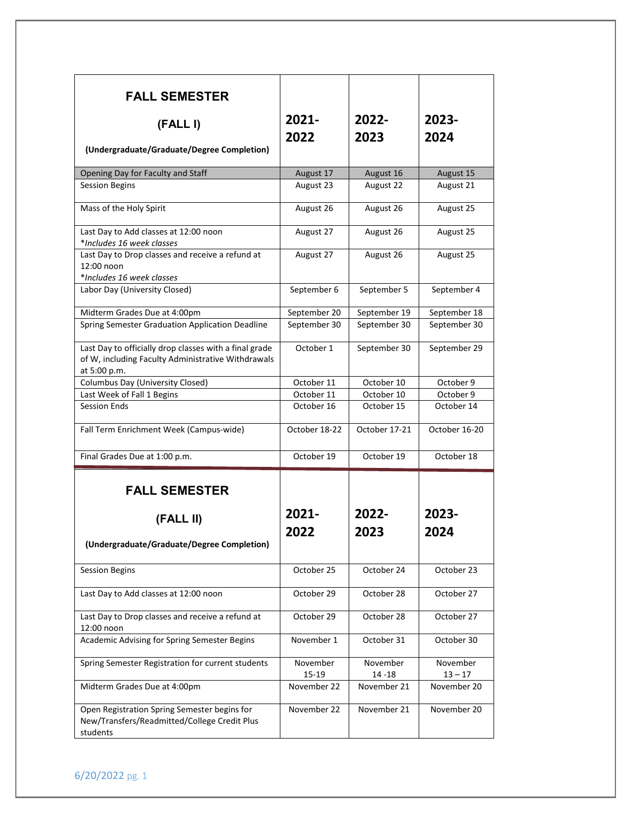| <b>FALL SEMESTER</b><br>(FALL I)<br>(Undergraduate/Graduate/Degree Completion)                                               | $2021 -$<br>2022  | 2022-<br>2023         | 2023-<br>2024         |
|------------------------------------------------------------------------------------------------------------------------------|-------------------|-----------------------|-----------------------|
| Opening Day for Faculty and Staff                                                                                            | August 17         | August 16             | August 15             |
| <b>Session Begins</b>                                                                                                        | August 23         | August 22             | August 21             |
| Mass of the Holy Spirit                                                                                                      | August 26         | August 26             | August 25             |
| Last Day to Add classes at 12:00 noon<br>*Includes 16 week classes                                                           | August 27         | August 26             | August 25             |
| Last Day to Drop classes and receive a refund at<br>12:00 noon<br>*Includes 16 week classes                                  | August 27         | August 26             | August 25             |
| Labor Day (University Closed)                                                                                                | September 6       | September 5           | September 4           |
| Midterm Grades Due at 4:00pm                                                                                                 | September 20      | September 19          | September 18          |
| Spring Semester Graduation Application Deadline                                                                              | September 30      | September 30          | September 30          |
| Last Day to officially drop classes with a final grade<br>of W, including Faculty Administrative Withdrawals<br>at 5:00 p.m. | October 1         | September 30          | September 29          |
| Columbus Day (University Closed)                                                                                             | October 11        | October 10            | October 9             |
| Last Week of Fall 1 Begins                                                                                                   | October 11        | October 10            | October 9             |
| Session Ends                                                                                                                 | October 16        | October 15            | October 14            |
| Fall Term Enrichment Week (Campus-wide)                                                                                      | October 18-22     | October 17-21         | October 16-20         |
| Final Grades Due at 1:00 p.m.                                                                                                | October 19        | October 19            | October 18            |
| <b>FALL SEMESTER</b>                                                                                                         |                   |                       |                       |
| (FALL II)                                                                                                                    | 2021-             | 2022-                 | 2023-                 |
| (Undergraduate/Graduate/Degree Completion)                                                                                   | 2022              | 2023                  | 2024                  |
| <b>Session Begins</b>                                                                                                        | October 25        | October 24            | October 23            |
| Last Day to Add classes at 12:00 noon                                                                                        | October 29        | October 28            | October 27            |
| Last Day to Drop classes and receive a refund at<br>12:00 noon                                                               | October 29        | October 28            | October 27            |
| Academic Advising for Spring Semester Begins                                                                                 | November 1        | October 31            | October 30            |
| Spring Semester Registration for current students                                                                            | November<br>15-19 | November<br>$14 - 18$ | November<br>$13 - 17$ |
| Midterm Grades Due at 4:00pm                                                                                                 | November 22       | November 21           | November 20           |
| Open Registration Spring Semester begins for<br>New/Transfers/Readmitted/College Credit Plus<br>students                     | November 22       | November 21           | November 20           |

6/20/2022 pg. 1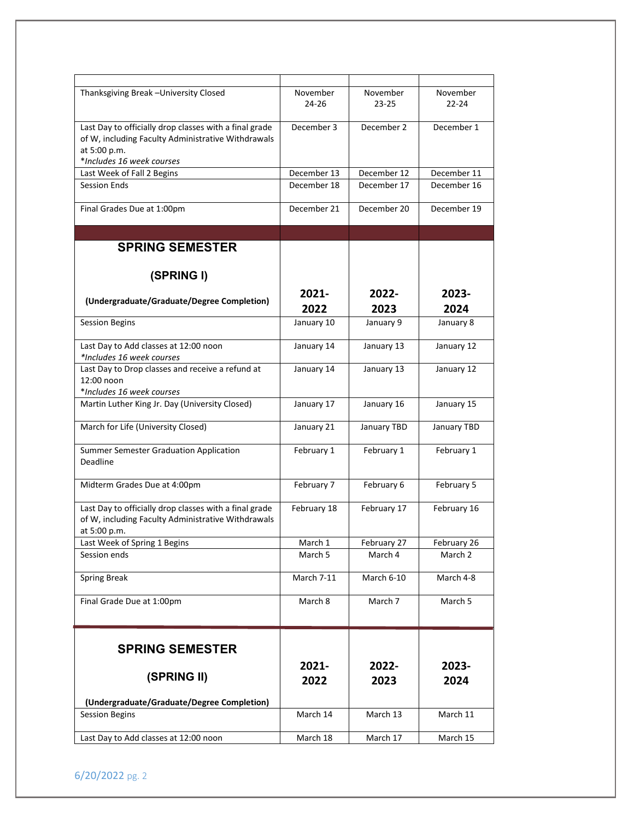| Thanksgiving Break - University Closed                 | November    | November    | November    |
|--------------------------------------------------------|-------------|-------------|-------------|
|                                                        | 24-26       | $23 - 25$   | $22 - 24$   |
|                                                        |             |             |             |
| Last Day to officially drop classes with a final grade | December 3  | December 2  | December 1  |
| of W, including Faculty Administrative Withdrawals     |             |             |             |
| at 5:00 p.m.                                           |             |             |             |
| *Includes 16 week courses                              |             |             |             |
|                                                        | December 13 | December 12 | December 11 |
| Last Week of Fall 2 Begins                             |             |             |             |
| <b>Session Ends</b>                                    | December 18 | December 17 | December 16 |
|                                                        |             |             |             |
| Final Grades Due at 1:00pm                             | December 21 | December 20 | December 19 |
|                                                        |             |             |             |
|                                                        |             |             |             |
| <b>SPRING SEMESTER</b>                                 |             |             |             |
|                                                        |             |             |             |
|                                                        |             |             |             |
| (SPRING I)                                             |             |             |             |
|                                                        |             |             |             |
| (Undergraduate/Graduate/Degree Completion)             | $2021 -$    | 2022-       | 2023-       |
|                                                        | 2022        | 2023        | 2024        |
| <b>Session Begins</b>                                  | January 10  | January 9   | January 8   |
|                                                        |             |             |             |
|                                                        |             |             |             |
| Last Day to Add classes at 12:00 noon                  | January 14  | January 13  | January 12  |
| *Includes 16 week courses                              |             |             |             |
| Last Day to Drop classes and receive a refund at       | January 14  | January 13  | January 12  |
| 12:00 noon                                             |             |             |             |
| *Includes 16 week courses                              |             |             |             |
| Martin Luther King Jr. Day (University Closed)         | January 17  | January 16  | January 15  |
|                                                        |             |             |             |
| March for Life (University Closed)                     | January 21  | January TBD | January TBD |
|                                                        |             |             |             |
| Summer Semester Graduation Application                 | February 1  | February 1  | February 1  |
| Deadline                                               |             |             |             |
|                                                        |             |             |             |
|                                                        |             |             |             |
| Midterm Grades Due at 4:00pm                           | February 7  | February 6  | February 5  |
|                                                        |             |             |             |
| Last Day to officially drop classes with a final grade | February 18 | February 17 | February 16 |
| of W, including Faculty Administrative Withdrawals     |             |             |             |
| at 5:00 p.m.                                           |             |             |             |
| Last Week of Spring 1 Begins                           | March 1     | February 27 | February 26 |
| Session ends                                           | March 5     | March 4     | March 2     |
|                                                        |             |             |             |
| <b>Spring Break</b>                                    | March 7-11  | March 6-10  | March 4-8   |
|                                                        |             |             |             |
| Final Grade Due at 1:00pm                              | March 8     | March 7     | March 5     |
|                                                        |             |             |             |
|                                                        |             |             |             |
|                                                        |             |             |             |
|                                                        |             |             |             |
| <b>SPRING SEMESTER</b>                                 |             |             |             |
|                                                        | 2021-       | 2022-       | 2023-       |
| (SPRING II)                                            |             |             |             |
|                                                        | 2022        | 2023        | 2024        |
|                                                        |             |             |             |
| (Undergraduate/Graduate/Degree Completion)             |             |             |             |
| <b>Session Begins</b>                                  | March 14    | March 13    | March 11    |
|                                                        |             |             |             |
| Last Day to Add classes at 12:00 noon                  | March 18    | March 17    | March 15    |
|                                                        |             |             |             |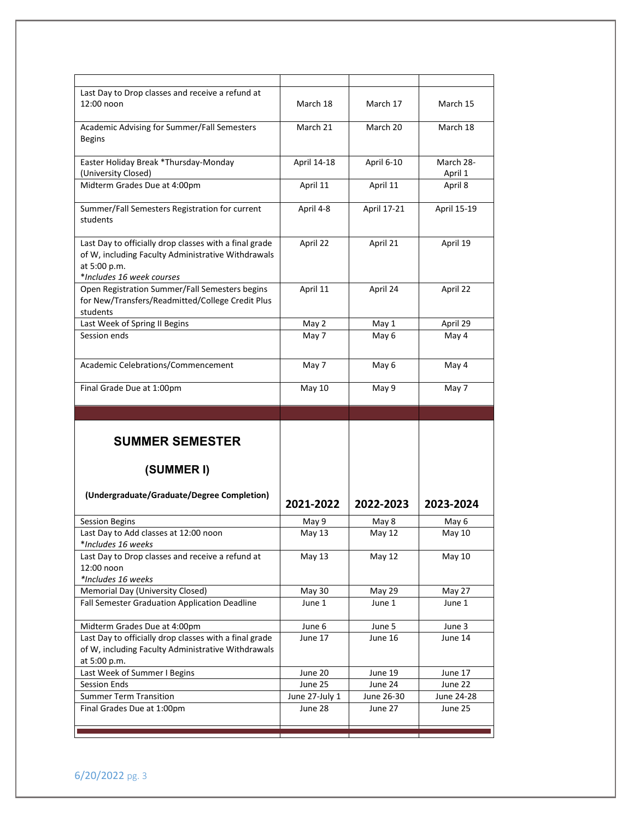| Last Day to Drop classes and receive a refund at       |                           |               |             |
|--------------------------------------------------------|---------------------------|---------------|-------------|
| 12:00 noon                                             | March 18                  | March 17      | March 15    |
|                                                        |                           |               |             |
| Academic Advising for Summer/Fall Semesters            | March 21                  | March 20      | March 18    |
| <b>Begins</b>                                          |                           |               |             |
|                                                        |                           |               |             |
| Easter Holiday Break *Thursday-Monday                  | April 14-18               | April 6-10    | March 28-   |
| (University Closed)                                    |                           |               | April 1     |
| Midterm Grades Due at 4:00pm                           | April 11                  | April 11      | April 8     |
|                                                        |                           |               |             |
| Summer/Fall Semesters Registration for current         | April 4-8                 | April 17-21   | April 15-19 |
| students                                               |                           |               |             |
|                                                        |                           |               |             |
|                                                        |                           |               |             |
| Last Day to officially drop classes with a final grade | April 22                  | April 21      | April 19    |
| of W, including Faculty Administrative Withdrawals     |                           |               |             |
| at 5:00 p.m.                                           |                           |               |             |
| *Includes 16 week courses                              |                           |               |             |
| Open Registration Summer/Fall Semesters begins         | April 11                  | April 24      | April 22    |
| for New/Transfers/Readmitted/College Credit Plus       |                           |               |             |
| students                                               |                           |               |             |
| Last Week of Spring II Begins                          | May 2                     | May 1         | April 29    |
| Session ends                                           | May 7                     | May 6         | May 4       |
|                                                        |                           |               |             |
| Academic Celebrations/Commencement                     | May 7                     | May 6         | May 4       |
|                                                        |                           |               |             |
| Final Grade Due at 1:00pm                              | May 10                    | May 9         | May 7       |
|                                                        |                           |               |             |
|                                                        |                           |               |             |
|                                                        |                           |               |             |
|                                                        |                           |               |             |
|                                                        |                           |               |             |
| <b>SUMMER SEMESTER</b>                                 |                           |               |             |
|                                                        |                           |               |             |
|                                                        |                           |               |             |
| (SUMMER I)                                             |                           |               |             |
|                                                        |                           |               |             |
| (Undergraduate/Graduate/Degree Completion)             |                           |               |             |
|                                                        | 2021-2022                 | 2022-2023     | 2023-2024   |
| <b>Session Begins</b>                                  | May 9                     | May 8         | May 6       |
| Last Day to Add classes at 12:00 noon                  | May 13                    | May 12        | May 10      |
| *Includes 16 weeks                                     |                           |               |             |
| Last Day to Drop classes and receive a refund at       | May 13                    | <b>May 12</b> | May 10      |
| 12:00 noon                                             |                           |               |             |
| *Includes 16 weeks                                     |                           |               |             |
| Memorial Day (University Closed)                       | May 30                    | May 29        | May 27      |
| Fall Semester Graduation Application Deadline          | June 1                    | June 1        | June 1      |
|                                                        |                           |               |             |
| Midterm Grades Due at 4:00pm                           | June 6                    | June 5        | June 3      |
| Last Day to officially drop classes with a final grade | June 17                   | June 16       | June 14     |
| of W, including Faculty Administrative Withdrawals     |                           |               |             |
| at 5:00 p.m.                                           |                           |               |             |
| Last Week of Summer I Begins                           | June 20                   | June 19       | June 17     |
| <b>Session Ends</b>                                    | June 25                   | June 24       | June 22     |
| <b>Summer Term Transition</b>                          |                           | June 26-30    | June 24-28  |
|                                                        | June 27-July 1<br>June 28 | June 27       | June 25     |
| Final Grades Due at 1:00pm                             |                           |               |             |